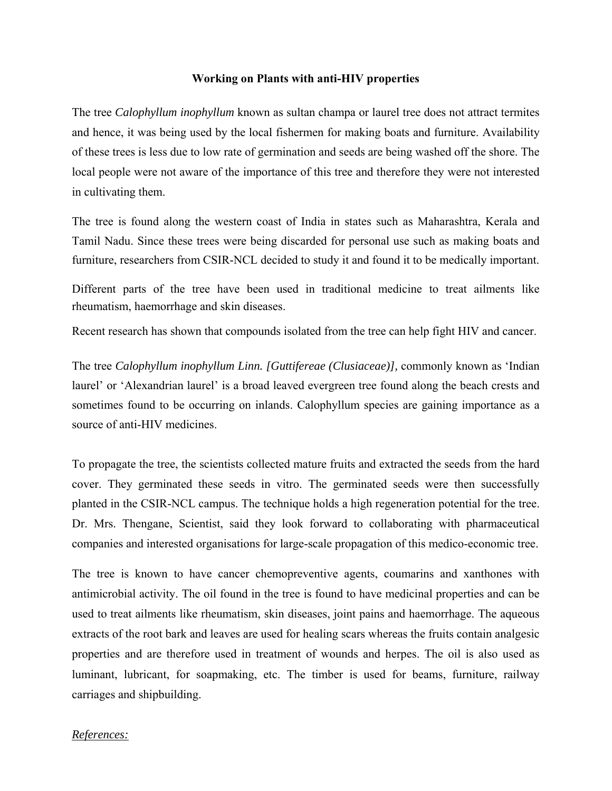## **Working on Plants with anti-HIV properties**

The tree *Calophyllum inophyllum* known as sultan champa or laurel tree does not attract termites and hence, it was being used by the local fishermen for making boats and furniture. Availability of these trees is less due to low rate of germination and seeds are being washed off the shore. The local people were not aware of the importance of this tree and therefore they were not interested in cultivating them.

The tree is found along the western coast of India in states such as Maharashtra, Kerala and Tamil Nadu. Since these trees were being discarded for personal use such as making boats and furniture, researchers from CSIR-NCL decided to study it and found it to be medically important.

Different parts of the tree have been used in traditional medicine to treat ailments like rheumatism, haemorrhage and skin diseases.

Recent research has shown that compounds isolated from the tree can help fight HIV and cancer.

The tree *Calophyllum inophyllum Linn. [Guttifereae (Clusiaceae)],* commonly known as 'Indian laurel' or 'Alexandrian laurel' is a broad leaved evergreen tree found along the beach crests and sometimes found to be occurring on inlands. Calophyllum species are gaining importance as a source of anti-HIV medicines.

To propagate the tree, the scientists collected mature fruits and extracted the seeds from the hard cover. They germinated these seeds in vitro. The germinated seeds were then successfully planted in the CSIR-NCL campus. The technique holds a high regeneration potential for the tree. Dr. Mrs. Thengane, Scientist, said they look forward to collaborating with pharmaceutical companies and interested organisations for large-scale propagation of this medico-economic tree.

The tree is known to have cancer chemopreventive agents, coumarins and xanthones with antimicrobial activity. The oil found in the tree is found to have medicinal properties and can be used to treat ailments like rheumatism, skin diseases, joint pains and haemorrhage. The aqueous extracts of the root bark and leaves are used for healing scars whereas the fruits contain analgesic properties and are therefore used in treatment of wounds and herpes. The oil is also used as luminant, lubricant, for soapmaking, etc. The timber is used for beams, furniture, railway carriages and shipbuilding.

## *References:*